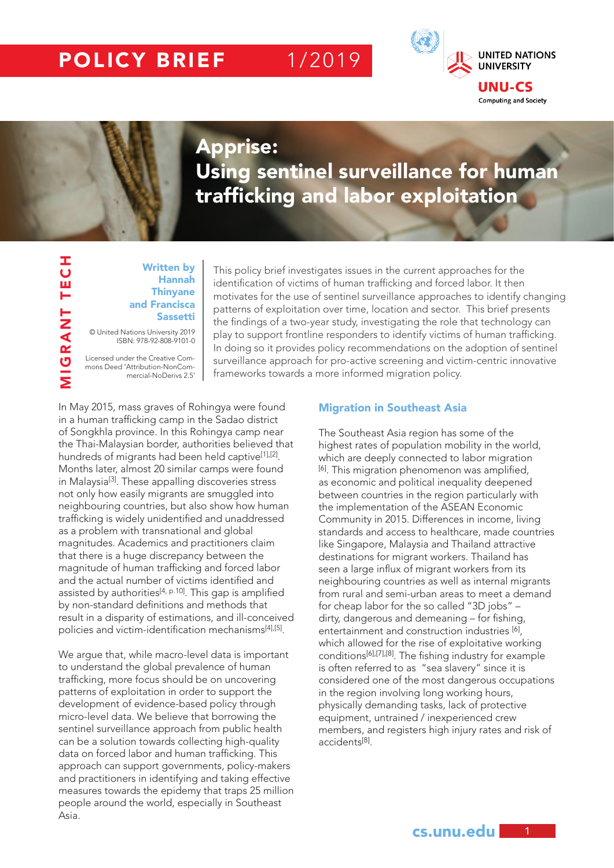# POLICY BRIEF 1/2019



MIGRANT TECH

**TUBLITECH** 

## Apprise: Using sentinel surveillance for human trafficking and labor exploitation

#### Written by Hannah **Thinyane** and Francisca Sassetti

© United Nations University 2019 ISBN: 978-92-808-9101-0

Licensed under the Creative Commons Deed 'Attribution-NonCommercial-NoDerivs 2.5'

This policy brief investigates issues in the current approaches for the identification of victims of human trafficking and forced labor. It then motivates for the use of sentinel surveillance approaches to identify changing patterns of exploitation over time, location and sector. This brief presents the findings of a two-year study, investigating the role that technology can play to support frontline responders to identify victims of human trafficking. In doing so it provides policy recommendations on the adoption of sentinel surveillance approach for pro-active screening and victim-centric innovative frameworks towards a more informed migration policy.

In May 2015, mass graves of Rohingya were found in a human trafficking camp in the Sadao district of Songkhla province. In this Rohingya camp near the Thai-Malaysian border, authorities believed that hundreds of migrants had been held captive<sup>[1],[2]</sup>. Months later, almost 20 similar camps were found in Malaysia[3]. These appalling discoveries stress not only how easily migrants are smuggled into neighbouring countries, but also show how human trafficking is widely unidentified and unaddressed as a problem with transnational and global magnitudes. Academics and practitioners claim that there is a huge discrepancy between the magnitude of human trafficking and forced labor and the actual number of victims identified and assisted by authorities<sup>[4, p.10]</sup>. This gap is amplified by non-standard definitions and methods that result in a disparity of estimations, and ill-conceived policies and victim-identification mechanisms[4],[5].

We argue that, while macro-level data is important to understand the global prevalence of human trafficking, more focus should be on uncovering patterns of exploitation in order to support the development of evidence-based policy through micro-level data. We believe that borrowing the sentinel surveillance approach from public health can be a solution towards collecting high-quality data on forced labor and human trafficking. This approach can support governments, policy-makers and practitioners in identifying and taking effective measures towards the epidemy that traps 25 million people around the world, especially in Southeast Asia.

#### Migration in Southeast Asia

The Southeast Asia region has some of the highest rates of population mobility in the world, which are deeply connected to labor migration [6]. This migration phenomenon was amplified, as economic and political inequality deepened between countries in the region particularly with the implementation of the ASEAN Economic Community in 2015. Differences in income, living standards and access to healthcare, made countries like Singapore, Malaysia and Thailand attractive destinations for migrant workers. Thailand has seen a large influx of migrant workers from its neighbouring countries as well as internal migrants from rural and semi-urban areas to meet a demand for cheap labor for the so called "3D jobs" – dirty, dangerous and demeaning – for fishing, entertainment and construction industries [6], which allowed for the rise of exploitative working conditions[6],[7],[8]. The fishing industry for example is often referred to as "sea slavery" since it is considered one of the most dangerous occupations in the region involving long working hours, physically demanding tasks, lack of protective equipment, untrained / inexperienced crew members, and registers high injury rates and risk of accidents[8].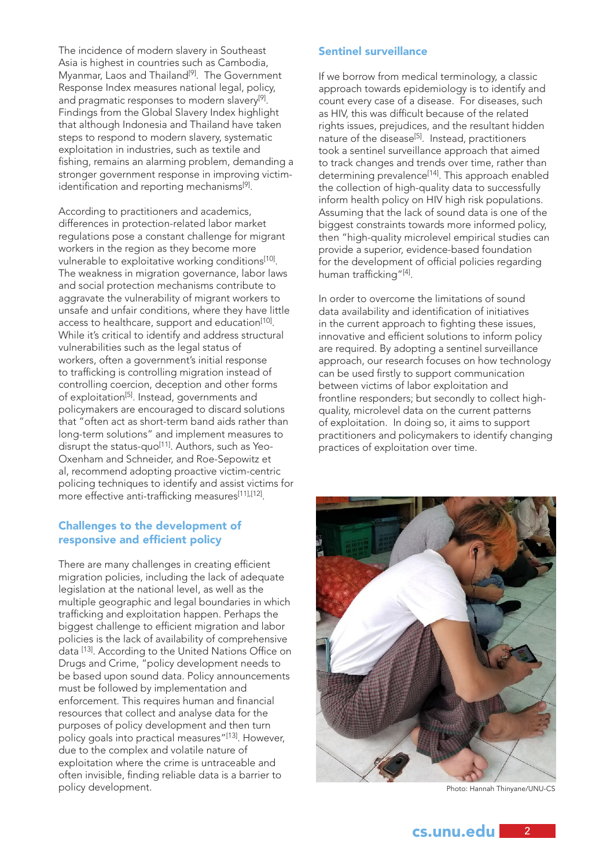The incidence of modern slavery in Southeast Asia is highest in countries such as Cambodia, Myanmar, Laos and Thailand<sup>[9]</sup>. The Government Response Index measures national legal, policy, and pragmatic responses to modern slavery<sup>[9]</sup>. Findings from the Global Slavery Index highlight that although Indonesia and Thailand have taken steps to respond to modern slavery, systematic exploitation in industries, such as textile and fishing, remains an alarming problem, demanding a stronger government response in improving victimidentification and reporting mechanisms[9].

According to practitioners and academics, differences in protection-related labor market regulations pose a constant challenge for migrant workers in the region as they become more vulnerable to exploitative working conditions<sup>[10]</sup>. The weakness in migration governance, labor laws and social protection mechanisms contribute to aggravate the vulnerability of migrant workers to unsafe and unfair conditions, where they have little access to healthcare, support and education<sup>[10]</sup>. While it's critical to identify and address structural vulnerabilities such as the legal status of workers, often a government's initial response to trafficking is controlling migration instead of controlling coercion, deception and other forms of exploitation<sup>[5]</sup>. Instead, governments and policymakers are encouraged to discard solutions that "often act as short-term band aids rather than long-term solutions" and implement measures to disrupt the status-quo<sup>[11]</sup>. Authors, such as Yeo-Oxenham and Schneider, and Roe-Sepowitz et al, recommend adopting proactive victim-centric policing techniques to identify and assist victims for more effective anti-trafficking measures[11],[12].

#### Challenges to the development of responsive and efficient policy

There are many challenges in creating efficient migration policies, including the lack of adequate legislation at the national level, as well as the multiple geographic and legal boundaries in which trafficking and exploitation happen. Perhaps the biggest challenge to efficient migration and labor policies is the lack of availability of comprehensive data [13]. According to the United Nations Office on Drugs and Crime, "policy development needs to be based upon sound data. Policy announcements must be followed by implementation and enforcement. This requires human and financial resources that collect and analyse data for the purposes of policy development and then turn policy goals into practical measures"[13]. However, due to the complex and volatile nature of exploitation where the crime is untraceable and often invisible, finding reliable data is a barrier to policy development.

### Sentinel surveillance

If we borrow from medical terminology, a classic approach towards epidemiology is to identify and count every case of a disease. For diseases, such as HIV, this was difficult because of the related rights issues, prejudices, and the resultant hidden nature of the disease[5]. Instead, practitioners took a sentinel surveillance approach that aimed to track changes and trends over time, rather than determining prevalence<sup>[14]</sup>. This approach enabled the collection of high-quality data to successfully inform health policy on HIV high risk populations. Assuming that the lack of sound data is one of the biggest constraints towards more informed policy, then "high-quality microlevel empirical studies can provide a superior, evidence-based foundation for the development of official policies regarding human trafficking"[4].

In order to overcome the limitations of sound data availability and identification of initiatives in the current approach to fighting these issues, innovative and efficient solutions to inform policy are required. By adopting a sentinel surveillance approach, our research focuses on how technology can be used firstly to support communication between victims of labor exploitation and frontline responders; but secondly to collect highquality, microlevel data on the current patterns of exploitation. In doing so, it aims to support practitioners and policymakers to identify changing practices of exploitation over time.



Photo: Hannah Thinyane/UNU-CS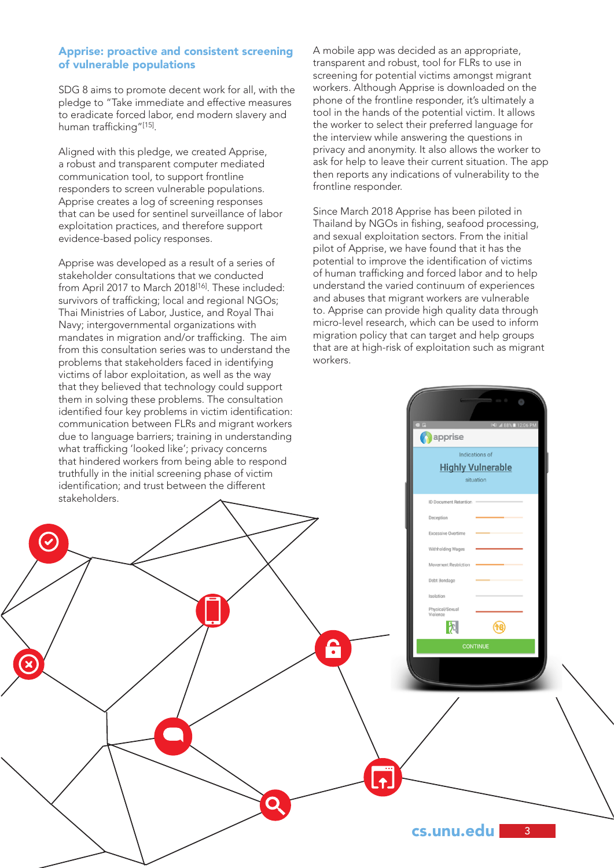### Apprise: proactive and consistent screening of vulnerable populations

SDG 8 aims to promote decent work for all, with the pledge to "Take immediate and effective measures to eradicate forced labor, end modern slavery and human trafficking"[15].

Aligned with this pledge, we created Apprise, a robust and transparent computer mediated communication tool, to support frontline responders to screen vulnerable populations. Apprise creates a log of screening responses that can be used for sentinel surveillance of labor exploitation practices, and therefore support evidence-based policy responses.

Apprise was developed as a result of a series of stakeholder consultations that we conducted from April 2017 to March 2018<sup>[16]</sup>. These included: survivors of trafficking; local and regional NGOs; Thai Ministries of Labor, Justice, and Royal Thai Navy; intergovernmental organizations with mandates in migration and/or trafficking. The aim from this consultation series was to understand the problems that stakeholders faced in identifying victims of labor exploitation, as well as the way that they believed that technology could support them in solving these problems. The consultation identified four key problems in victim identification: communication between FLRs and migrant workers due to language barriers; training in understanding what trafficking 'looked like'; privacy concerns that hindered workers from being able to respond truthfully in the initial screening phase of victim identification; and trust between the different stakeholders.

 $\boldsymbol{C}$ 

A mobile app was decided as an appropriate, transparent and robust, tool for FLRs to use in screening for potential victims amongst migrant workers. Although Apprise is downloaded on the phone of the frontline responder, it's ultimately a tool in the hands of the potential victim. It allows the worker to select their preferred language for the interview while answering the questions in privacy and anonymity. It also allows the worker to ask for help to leave their current situation. The app then reports any indications of vulnerability to the frontline responder.

Since March 2018 Apprise has been piloted in Thailand by NGOs in fishing, seafood processing, and sexual exploitation sectors. From the initial pilot of Apprise, we have found that it has the potential to improve the identification of victims of human trafficking and forced labor and to help understand the varied continuum of experiences and abuses that migrant workers are vulnerable to. Apprise can provide high quality data through micro-level research, which can be used to inform migration policy that can target and help groups that are at high-risk of exploitation such as migrant workers.

**A** apprise

**ID Document Retenti** Deception Excessive Overtin

Withholding Wa

Debt Bondao Isolation .<br>Physical/Si<br>Violence 內

ę

Indications of **Highly Vulnerable** situation

ରେ)

 $3<sup>2</sup>$